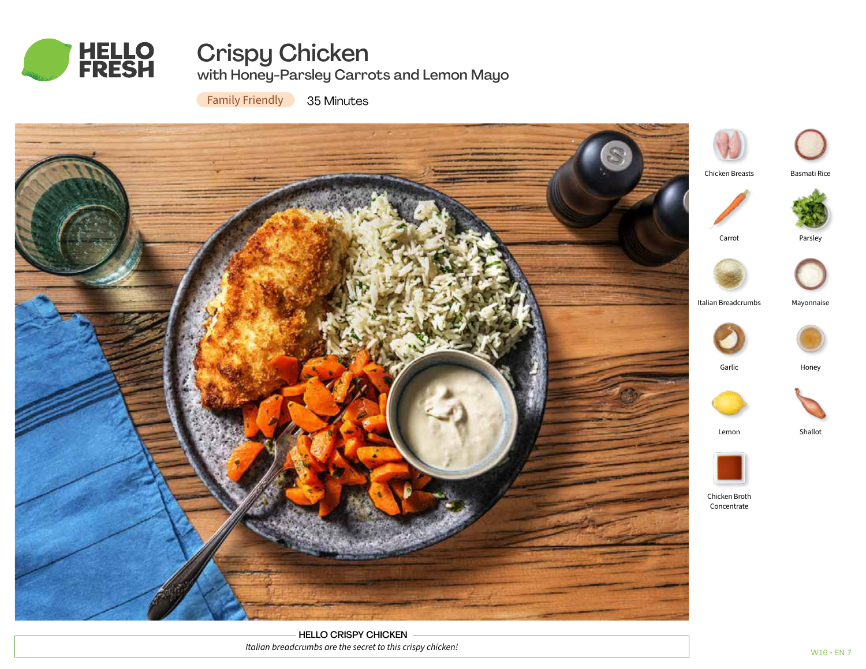

# Crispy Chicken with Honey-Parsley Carrots and Lemon Mayo

Family Friendly 35 Minutes



HELLO CRISPY CHICKEN *Italian breadcrumbs are the secret to this crispy chicken!*